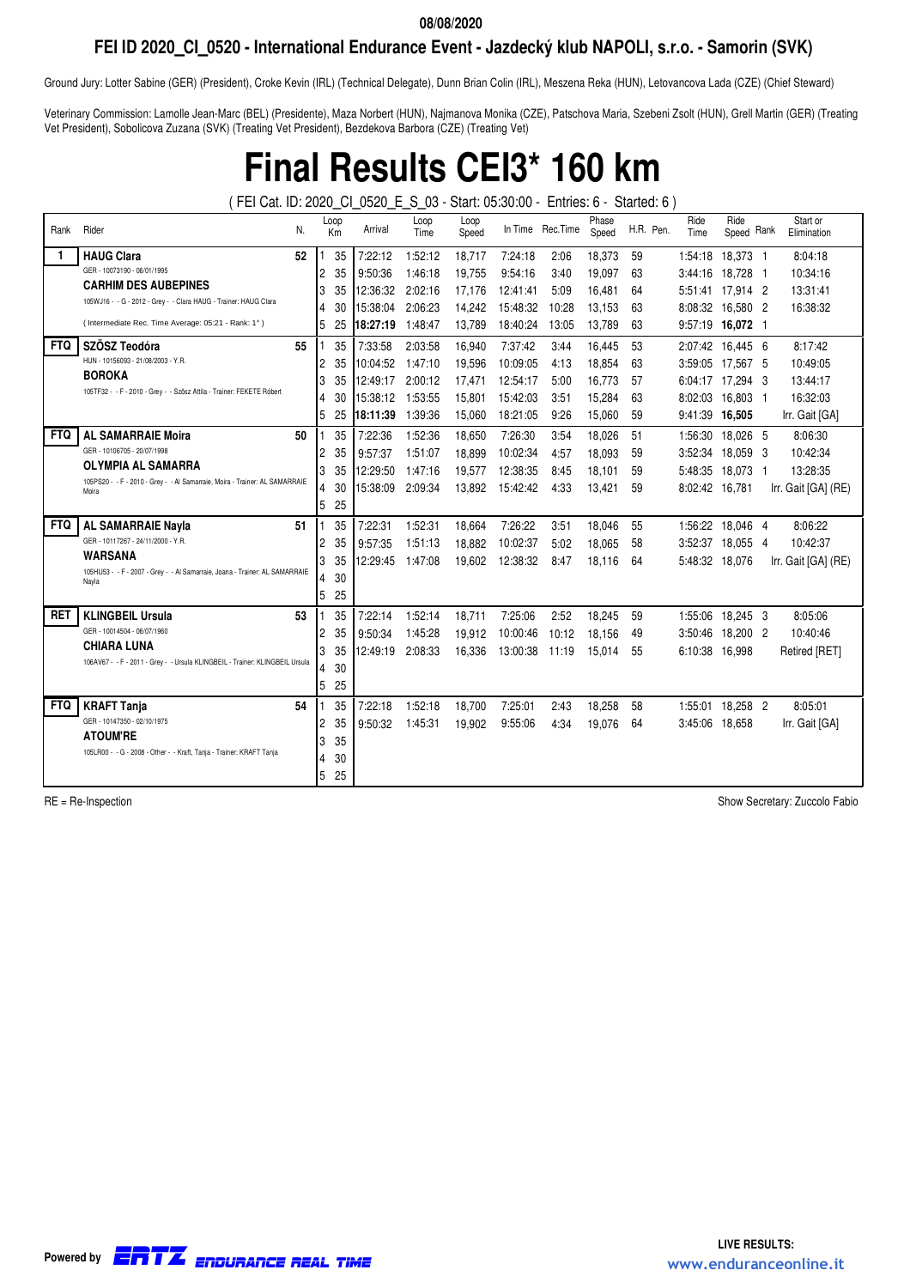## **FEI ID 2020\_CI\_0520 - International Endurance Event - Jazdecký klub NAPOLI, s.r.o. - Samorin (SVK)**

Ground Jury: Lotter Sabine (GER) (President), Croke Kevin (IRL) (Technical Delegate), Dunn Brian Colin (IRL), Meszena Reka (HUN), Letovancova Lada (CZE) (Chief Steward)

Veterinary Commission: Lamolle Jean-Marc (BEL) (Presidente), Maza Norbert (HUN), Najmanova Monika (CZE), Patschova Maria, Szebeni Zsolt (HUN), Grell Martin (GER) (Treating Vet President), Sobolicova Zuzana (SVK) (Treating Vet President), Bezdekova Barbora (CZE) (Treating Vet)

# **Final Results CEI3\* 160 km**

( FEI Cat. ID: 2020\_CI\_0520\_E\_S\_03 - Start: 05:30:00 - Entries: 6 - Started: 6 )

| Rank       | Rider<br>N.                                                                          |                | Loop<br>Km | Arrival  | Loop<br>Time | Loop<br>Speed |          | In Time Rec. Time | Phase<br>Speed |    | H.R. Pen. | Ride<br>Time     | Ride<br>Speed Rank | Start or<br>Elimination |
|------------|--------------------------------------------------------------------------------------|----------------|------------|----------|--------------|---------------|----------|-------------------|----------------|----|-----------|------------------|--------------------|-------------------------|
|            | <b>HAUG Clara</b><br>52                                                              |                | 35         | 7:22:12  | 1:52:12      | 18,717        | 7:24:18  | 2:06              | 18,373         | 59 |           | 1:54:18          | 18,373 1           | 8:04:18                 |
|            | GER - 10073190 - 06/01/1995                                                          | 2              | 35         | 9:50:36  | 1:46:18      | 19,755        | 9:54:16  | 3:40              | 19,097         | 63 |           | 3:44:16          | 18,728 1           | 10:34:16                |
|            | <b>CARHIM DES AUBEPINES</b>                                                          | 3              | 35         | 12:36:32 | 2:02:16      | 17,176        | 12:41:41 | 5:09              | 16,481         | 64 |           | 5:51:41          | 17,914 2           | 13:31:41                |
|            | 105WJ16 - - G - 2012 - Grey - - Clara HAUG - Trainer: HAUG Clara                     | 4              | 30         | 15:38:04 | 2:06:23      | 14,242        | 15:48:32 | 10:28             | 13,153         | 63 |           | 8:08:32          | 16.580 2           | 16:38:32                |
|            | (Intermediate Rec. Time Average: 05:21 - Rank: 1°)                                   | 5              | 25         | 18:27:19 | 1:48:47      | 13.789        | 18:40:24 | 13:05             | 13.789         | 63 |           | 9:57:19 16,072 1 |                    |                         |
| <b>FTQ</b> | SZÖSZ Teodóra<br>55                                                                  |                | 35         | 7:33:58  | 2:03:58      | 16,940        | 7:37:42  | 3:44              | 16,445         | 53 |           | 2:07:42 16.445 6 |                    | 8:17:42                 |
|            | HUN - 10156093 - 21/08/2003 - Y.R.                                                   | 2              | 35         | 10:04:52 | 1:47:10      | 19,596        | 10:09:05 | 4:13              | 18,854         | 63 |           | 3:59:05          | 17,567 5           | 10:49:05                |
|            | <b>BOROKA</b>                                                                        | 3              | 35         | 12:49:17 | 2:00:12      | 17,471        | 12:54:17 | 5:00              | 16.773         | 57 |           | 6:04:17 17.294 3 |                    | 13:44:17                |
|            | 105TF32 - - F - 2010 - Grey - - Szösz Attila - Trainer: FEKETE Róbert                | 4              | 30         | 15:38:12 | 1:53:55      | 15.801        | 15:42:03 | 3:51              | 15.284         | 63 |           | 8:02:03          | 16.803 1           | 16:32:03                |
|            |                                                                                      | 5              | 25         | 18:11:39 | 1:39:36      | 15.060        | 18:21:05 | 9:26              | 15.060         | 59 |           | 9:41:39          | 16.505             | Irr. Gait [GA]          |
| <b>FTQ</b> | <b>AL SAMARRAIE Moira</b><br>50                                                      |                | 35         | 7:22:36  | 1:52:36      | 18,650        | 7:26:30  | 3:54              | 18.026         | 51 |           | 1:56:30          | 18.026 5           | 8:06:30                 |
|            | GER - 10106705 - 20/07/1998                                                          | $\overline{2}$ | 35         | 9:57:37  | 1:51:07      | 18,899        | 10:02:34 | 4:57              | 18,093         | 59 |           | 3:52:34          | 18,059 3           | 10:42:34                |
|            | <b>OLYMPIA AL SAMARRA</b><br>3                                                       | 35             | 12:29:50   | 1:47:16  | 19,577       | 12:38:35      | 8:45     | 18,101            | 59             |    | 5:48:35   | 18,073 1         | 13:28:35           |                         |
|            | 105PS20 - - F - 2010 - Grey - - Al Samarraie, Moira - Trainer: AL SAMARRAIE<br>Moira | 4              | 30         | 15:38:09 | 2:09:34      | 13,892        | 15:42:42 | 4:33              | 13.421         | 59 |           | 8:02:42          | 16.781             | Irr. Gait [GA] (RE)     |
|            |                                                                                      | 5              | 25         |          |              |               |          |                   |                |    |           |                  |                    |                         |
| <b>FTQ</b> | <b>AL SAMARRAIE Nayla</b><br>51                                                      |                | 35         | 7:22:31  | 1:52:31      | 18,664        | 7:26:22  | 3:51              | 18,046         | 55 |           | 1:56:22          | 18,046 4           | 8:06:22                 |
|            | GER - 10117267 - 24/11/2000 - Y.R.                                                   | $\overline{c}$ | 35         | 9:57:35  | 1:51:13      | 18,882        | 10:02:37 | 5:02              | 18.065         | 58 |           | 3:52:37          | 18,055 4           | 10:42:37                |
|            | <b>WARSANA</b>                                                                       | 3              | 35         | 12:29:45 | 1:47:08      | 19.602        | 12:38:32 | 8:47              | 18.116         | 64 |           | 5:48:32          | 18.076             | Irr. Gait [GA] (RE)     |
|            | 105HU53 - - F - 2007 - Grey - - Al Samarraie, Joana - Trainer: AL SAMARRAIE<br>Nayla | 4              | 30         |          |              |               |          |                   |                |    |           |                  |                    |                         |
|            |                                                                                      | 5              | 25         |          |              |               |          |                   |                |    |           |                  |                    |                         |
| <b>RET</b> | <b>KLINGBEIL Ursula</b><br>53                                                        |                | 35         | 7:22:14  | 1:52:14      | 18,711        | 7:25:06  | 2:52              | 18,245         | 59 |           | 1:55:06          | 18,245 3           | 8:05:06                 |
|            | GER - 10014504 - 06/07/1960                                                          | 2              | 35         | 9:50:34  | 1:45:28      | 19,912        | 10:00:46 | 10:12             | 18,156         | 49 |           | 3:50:46          | 18,200 2           | 10:40:46                |
|            | <b>CHIARA LUNA</b>                                                                   | 3              | 35         | 12:49:19 | 2:08:33      | 16,336        | 13:00:38 | 11:19             | 15.014         | 55 |           | 6:10:38          | 16.998             | Retired [RET]           |
|            | 106AV67 - - F - 2011 - Grey - - Ursula KLINGBEIL - Trainer: KLINGBEIL Ursula         | 4              | 30         |          |              |               |          |                   |                |    |           |                  |                    |                         |
|            |                                                                                      | 5              | 25         |          |              |               |          |                   |                |    |           |                  |                    |                         |
| <b>FTQ</b> | <b>KRAFT Tanja</b><br>54                                                             |                | 35         | 7:22:18  | 1:52:18      | 18,700        | 7:25:01  | 2:43              | 18,258         | 58 |           | 1:55:01          | 18,258 2           | 8:05:01                 |
|            | GER - 10147350 - 02/10/1975                                                          | 2              | 35         | 9:50:32  | 1:45:31      | 19,902        | 9:55:06  | 4:34              | 19,076         | 64 |           | 3:45:06          | 18,658             | Irr. Gait [GA]          |
|            | <b>ATOUM'RE</b>                                                                      | 3              | 35         |          |              |               |          |                   |                |    |           |                  |                    |                         |
|            | 105LR00 - - G - 2008 - Other - - Kraft, Tanja - Trainer: KRAFT Tanja                 | 4              | 30         |          |              |               |          |                   |                |    |           |                  |                    |                         |
|            |                                                                                      | 5              | 25         |          |              |               |          |                   |                |    |           |                  |                    |                         |

RE = Re-Inspection Show Secretary: Zuccolo Fabio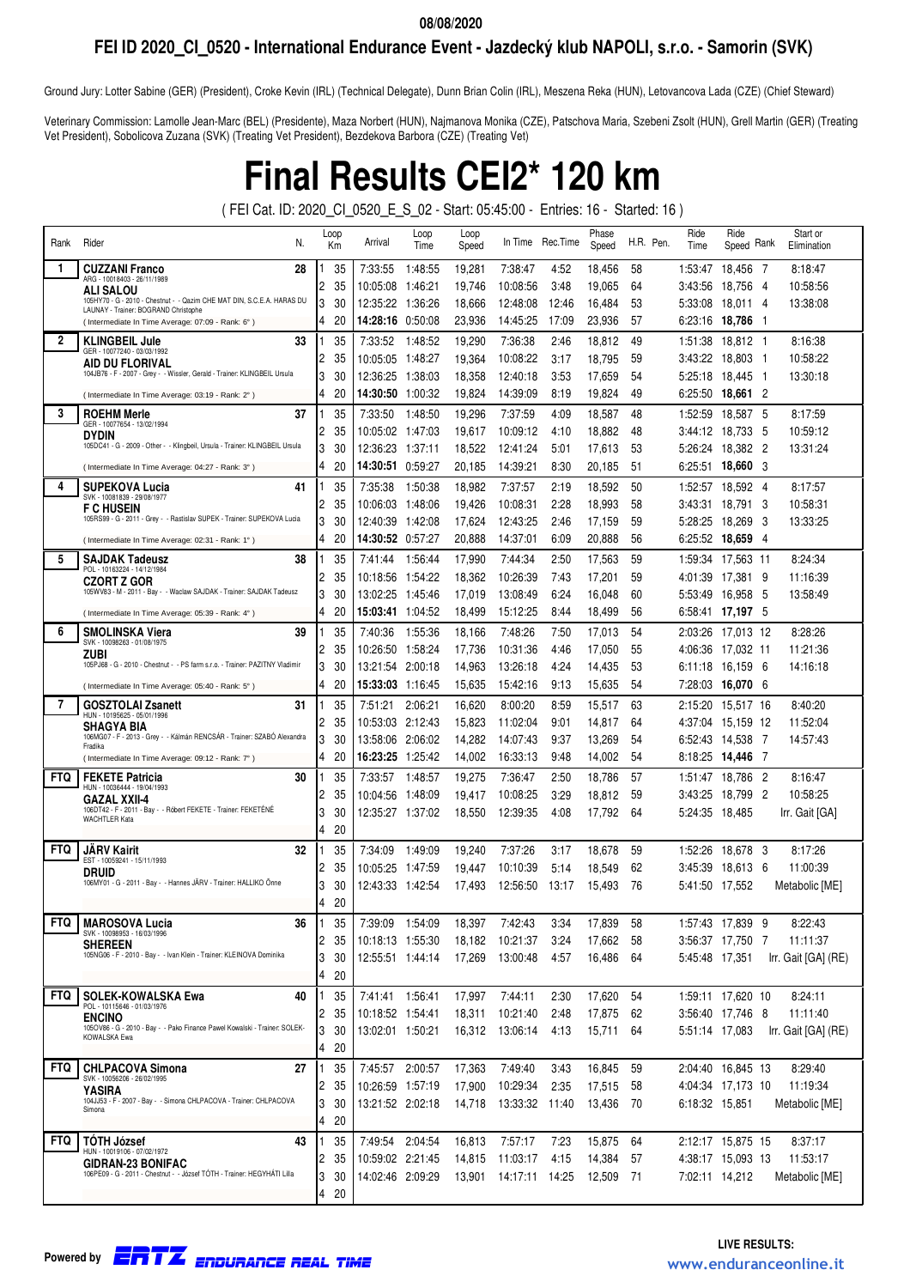## **FEI ID 2020\_CI\_0520 - International Endurance Event - Jazdecký klub NAPOLI, s.r.o. - Samorin (SVK)**

Ground Jury: Lotter Sabine (GER) (President), Croke Kevin (IRL) (Technical Delegate), Dunn Brian Colin (IRL), Meszena Reka (HUN), Letovancova Lada (CZE) (Chief Steward)

Veterinary Commission: Lamolle Jean-Marc (BEL) (Presidente), Maza Norbert (HUN), Najmanova Monika (CZE), Patschova Maria, Szebeni Zsolt (HUN), Grell Martin (GER) (Treating Vet President), Sobolicova Zuzana (SVK) (Treating Vet President), Bezdekova Barbora (CZE) (Treating Vet)

# **Final Results CEI2\* 120 km**

( FEI Cat. ID: 2020\_CI\_0520\_E\_S\_02 - Start: 05:45:00 - Entries: 16 - Started: 16 )

| Rank         | Rider<br>N.                                                                                                    | Loop<br>Кm     |          | Arrival                     | Loop<br>Time       | Loop<br>Speed    | In Time                 | Rec.Time     | Phase<br>Speed   | H.R. Pen. | Ride<br>Time   | Ride<br>Speed Rank             |     | Start or<br>Elimination |
|--------------|----------------------------------------------------------------------------------------------------------------|----------------|----------|-----------------------------|--------------------|------------------|-------------------------|--------------|------------------|-----------|----------------|--------------------------------|-----|-------------------------|
| 1.           | 28<br><b>CUZZANI Franco</b>                                                                                    |                | 35       | 7:33:55                     | 1:48:55            | 19,281           | 7:38:47                 | 4:52         | 18,456           | 58        | 1:53:47        | 18,456 7                       |     | 8:18:47                 |
|              | ARG - 10018403 - 26/11/1989<br><b>ALI SALOU</b>                                                                | 2              | 35       | 10:05:08                    | 1:46:21            | 19,746           | 10:08:56                | 3:48         | 19,065           | 64        | 3:43:56        | 18,756 4                       |     | 10:58:56                |
|              | 105HY70 - G - 2010 - Chestnut - - Qazim CHE MAT DIN, S.C.E.A. HARAS DU<br>LAUNAY - Trainer: BOGRAND Christophe | 3              | 30       | 12:35:22                    | 1:36:26            | 18,666           | 12:48:08                | 12:46        | 16,484           | 53        | 5:33:08        | 18.011                         | 4   | 13:38:08                |
|              | (Intermediate In Time Average: 07:09 - Rank: 6°)                                                               | 4              | 20       | 14:28:16                    | 0:50:08            | 23,936           | 14:45:25                | 17:09        | 23,936           | 57        | 6:23:16        | 18.786 1                       |     |                         |
| $\mathbf{2}$ | 33<br><b>KLINGBEIL Jule</b><br>GER - 10077240 - 03/03/1992                                                     |                | 35       | 7:33:52                     | 1:48:52            | 19,290           | 7:36:38                 | 2:46         | 18,812           | 49        | 1:51:38        | 18,812 1                       |     | 8:16:38                 |
|              | AID DU FLORIVAL                                                                                                | 2              | 35       | 10:05:05                    | 1:48:27            | 19,364           | 10:08:22                | 3:17         | 18,795           | 59        | 3:43:22        | 18,803                         | - 1 | 10:58:22                |
|              | 104JB76 - F - 2007 - Grey - - Wissler, Gerald - Trainer: KLINGBEIL Ursula                                      | 3              | 30       | 12:36:25                    | 1:38:03            | 18,358           | 12:40:18                | 3:53         | 17,659           | 54        | 5:25:18        | 18,445                         | -1  | 13:30:18                |
|              | (Intermediate In Time Average: 03:19 - Rank: 2°)                                                               | $\overline{4}$ | 20       | 14:30:50                    | 1:00:32            | 19,824           | 14:39:09                | 8:19         | 19,824           | 49        | 6:25:50        | 18,661 2                       |     |                         |
| 3            | 37<br><b>ROEHM Merle</b><br>GER - 10077654 - 13/02/1994                                                        |                | 35       | 7:33:50                     | 1:48:50            | 19,296           | 7:37:59                 | 4:09         | 18,587           | 48        | 1:52:59        | 18,587                         | -5  | 8:17:59                 |
|              | <b>DYDIN</b>                                                                                                   | 2              | 35       | 10:05:02                    | 1:47:03            | 19,617           | 10:09:12                | 4:10         | 18,882           | 48        | 3:44:12        | 18,733                         | -5  | 10:59:12                |
|              | 105DC41 - G - 2009 - Other - - Klingbeil, Ursula - Trainer: KLINGBEIL Ursula                                   | 3              | 30       | 12:36:23                    | 1:37:11            | 18,522           | 12:41:24                | 5:01         | 17,613           | 53        | 5:26:24        | 18,382 2                       |     | 13:31:24                |
|              | (Intermediate In Time Average: 04:27 - Rank: 3°)                                                               | 4              | 20       | 14:30:51                    | 0:59:27            | 20,185           | 14:39:21                | 8:30         | 20,185           | 51        | 6:25:51        | 18,660 3                       |     |                         |
| 4            | <b>SUPEKOVA Lucia</b><br>41<br>SVK - 10081839 - 29/08/1977                                                     |                | 35       | 7:35:38                     | 1:50:38            | 18,982           | 7:37:57                 | 2:19         | 18,592           | 50        | 1:52:57        | 18,592 4                       |     | 8:17:57                 |
|              | <b>F C HUSEIN</b><br>105RS99 - G - 2011 - Grey - - Rastislav SUPEK - Trainer: SUPEKOVA Lucia                   | 2              | 35       | 10:06:03                    | 1:48:06            | 19,426           | 10:08:31                | 2:28         | 18,993           | 58        | 3:43:31        | 18,791                         | 3   | 10:58:31                |
|              |                                                                                                                | 3              | 30       | 12:40:39                    | 1:42:08            | 17,624           | 12:43:25                | 2:46         | 17,159           | 59        | 5:28:25        | 18,269                         | -3  | 13:33:25                |
|              | (Intermediate In Time Average: 02:31 - Rank: 1°)                                                               | 4              | 20       | <b>14:30:52</b> 0:57:27     |                    | 20,888           | 14:37:01                | 6:09         | 20,888           | 56        |                | 6:25:52 18,659 4               |     |                         |
| 5            | 38<br><b>SAJDAK Tadeusz</b><br>POL - 10163224 - 14/12/1984                                                     |                | 35       | 7:41:44                     | 1:56:44            | 17,990           | 7:44:34                 | 2:50         | 17,563           | 59        | 1:59:34        | 17,563 11                      |     | 8:24:34                 |
|              | <b>CZORT Z GOR</b><br>105WV83 - M - 2011 - Bay - - Waclaw SAJDAK - Trainer: SAJDAK Tadeusz                     | 2              | 35       | 10:18:56                    | 1:54:22            | 18,362           | 10:26:39                | 7:43         | 17,201           | 59        | 4:01:39        | 17,381                         | 9   | 11:16:39                |
|              |                                                                                                                | 3              | 30       | 13:02:25                    | 1:45:46            | 17,019           | 13:08:49                | 6:24         | 16,048           | 60        | 5:53:49        | 16,958 5                       |     | 13:58:49                |
|              | (Intermediate In Time Average: 05:39 - Rank: 4°)                                                               | 4              | 20       | 15:03:41                    | 1:04:52            | 18,499           | 15:12:25                | 8:44         | 18,499           | 56        | 6:58:41        | 17,197 5                       |     |                         |
| 6            | 39<br><b>SMOLINSKA Viera</b><br>SVK - 10098263 - 01/08/1975                                                    |                | 35       | 7:40:36                     | 1:55:36            | 18,166           | 7:48:26                 | 7:50         | 17,013           | 54        | 2:03:26        | 17,013 12                      |     | 8:28:26                 |
|              | ZUBI<br>105PJ68 - G - 2010 - Chestnut - - PS farm s.r.o. - Trainer: PAZITNY Vladimir                           | 2<br>3         | 35       | 10:26:50                    | 1:58:24            | 17,736           | 10:31:36                | 4:46         | 17,050           | 55        | 4:06:36        | 17,032 11                      |     | 11:21:36                |
|              |                                                                                                                | 4              | 30<br>20 | 13:21:54<br>15:33:03        | 2:00:18<br>1:16:45 | 14,963<br>15,635 | 13:26:18<br>15:42:16    | 4:24<br>9:13 | 14,435<br>15,635 | 53<br>54  | 7:28:03        | 6:11:18 16.159 6<br>16,070 6   |     | 14:16:18                |
| 7            | (Intermediate In Time Average: 05:40 - Rank: 5°)<br>31                                                         |                |          |                             |                    |                  |                         |              |                  |           |                |                                |     |                         |
|              | <b>GOSZTOLAI Zsanett</b><br>HUN - 10195625 - 05/01/1996                                                        | 2              | 35<br>35 | 7:51:21<br>10:53:03 2:12:43 | 2:06:21            | 16.620<br>15,823 | 8:00:20<br>11:02:04     | 8:59<br>9:01 | 15,517           | 63<br>64  | 2:15:20        | 15,517 16<br>4:37:04 15,159 12 |     | 8:40:20<br>11:52:04     |
|              | SHAGYA BIA<br>106MG07 - F - 2013 - Grey - - Kálmán RENCSÁR - Trainer: SZABÓ Alexandra                          | 3              | 30       | 13:58:06                    | 2:06:02            | 14,282           | 14:07:43                | 9:37         | 14,817<br>13,269 | 54        | 6:52:43        | 14,538 7                       |     | 14:57:43                |
|              | Fradika<br>(Intermediate In Time Average: 09:12 - Rank: 7°)                                                    | 4              | 20       | 16:23:25                    | 1:25:42            | 14,002           | 16:33:13                | 9:48         | 14,002           | 54        | 8:18:25        | 14,446 7                       |     |                         |
| <b>FTQ</b>   | <b>FEKETE Patricia</b><br>30                                                                                   |                | 35       | 7:33:57                     | 1:48:57            | 19,275           | 7:36:47                 | 2:50         | 18,786           | 57        | 1:51:47        | 18,786 2                       |     | 8:16:47                 |
|              | HUN - 10036444 - 19/04/1993                                                                                    | 2              | 35       | 10:04:56                    | 1:48:09            | 19,417           | 10:08:25                | 3:29         | 18,812           | 59        | 3:43:25        | 18,799 2                       |     | 10:58:25                |
|              | GAZAL XXII-4<br>106DT42 - F - 2011 - Bay - - Róbert FEKETE - Trainer: FEKETÉNÉ                                 | 3              | 30       | 12:35:27 1:37:02            |                    | 18,550           | 12:39:35                | 4:08         | 17,792           | 64        | 5:24:35        | 18,485                         |     | Irr. Gait [GA]          |
|              | <b>WACHTLER Kata</b>                                                                                           | 4              | 20       |                             |                    |                  |                         |              |                  |           |                |                                |     |                         |
| <b>FTQ</b>   | <b>JARV Kairit</b><br>32                                                                                       |                | 35       | 7:34:09                     | 1:49:09            | 19,240           | 7:37:26                 | 3:17         | 18,678           | 59        | 1:52:26        | 18,678 3                       |     | 8:17:26                 |
|              | EST - 10059241 - 15/11/1993<br>DRUID                                                                           | 2              | 35       | 10:05:25                    | 1:47:59            | 19,447           | 10:10:39                | 5:14         | 18,549           | 62        | 3:45:39        | 18.613 6                       |     | 11:00:39                |
|              | 106MY01 - G - 2011 - Bay - - Hannes JÄRV - Trainer: HALLIKO Önne                                               | 3              | 30       |                             |                    | 17,493           | 12:56:50                | 13:17        | 15,493           | 76        | 5:41:50 17.552 |                                |     | Metabolic [ME]          |
|              |                                                                                                                | $\overline{4}$ | 20       |                             |                    |                  |                         |              |                  |           |                |                                |     |                         |
| <b>FTQ</b>   | <b>MAROSOVA Lucia</b><br>36                                                                                    |                | 35       | 7:39:09                     | 1:54:09            | 18,397           | 7:42:43                 | 3:34         | 17,839           | 58        |                | 1:57:43 17,839 9               |     | 8:22:43                 |
|              | SVK - 10098953 - 16/03/1996<br><b>SHEREEN</b>                                                                  | 2              | 35       | 10:18:13 1:55:30            |                    | 18,182           | 10:21:37                | 3:24         | 17,662           | 58        |                | 3:56:37 17,750 7               |     | 11:11:37                |
|              | 105NG06 - F - 2010 - Bay - - Ivan Klein - Trainer: KLEINOVA Dominika                                           | 3              | 30       |                             |                    | 17,269           | 13:00:48                | 4:57         | 16,486           | 64        | 5:45:48 17,351 |                                |     | Irr. Gait [GA] (RE)     |
|              |                                                                                                                | 4              | 20       |                             |                    |                  |                         |              |                  |           |                |                                |     |                         |
| <b>FTQ</b>   | <b>SOLEK-KOWALSKA Ewa</b><br>40                                                                                |                | 35       | 7:41:41 1:56:41             |                    | 17,997           | 7:44:11                 | 2:30         | 17,620           | 54        |                | 1:59:11 17,620 10              |     | 8:24:11                 |
|              | POL - 10115646 - 01/03/1976<br><b>ENCINO</b>                                                                   | 2              | 35       | 10:18:52 1:54:41            |                    | 18,311           | 10:21:40                | 2:48         | 17,875           | 62        |                | 3:56:40 17,746 8               |     | 11:11:40                |
|              | 105OV86 - G - 2010 - Bay - - Pako Finance Pawel Kowalski - Trainer: SOLEK-<br>KOWALSKA Ewa                     | 3              | 30       | 13:02:01 1:50:21            |                    |                  | 16,312 13:06:14         | 4:13         | 15,711           | 64        | 5:51:14 17.083 |                                |     | Irr. Gait [GA] (RE)     |
|              |                                                                                                                | 4              | 20       |                             |                    |                  |                         |              |                  |           |                |                                |     |                         |
| <b>FTQ</b>   | 27<br><b>CHLPACOVA Simona</b><br>SVK - 10056206 - 26/02/1995                                                   |                | 35       | 7:45:57                     | 2:00:57            | 17,363           | 7:49:40                 | 3:43         | 16,845           | 59        |                | 2:04:40 16,845 13              |     | 8:29:40                 |
|              | YASIRA                                                                                                         | 2              | 35       | 10:26:59 1:57:19            |                    | 17,900           | 10:29:34                | 2:35         | 17,515           | 58        |                | 4:04:34 17,173 10              |     | 11:19:34                |
|              | 104JJ53 - F - 2007 - Bav - - Simona CHLPACOVA - Trainer: CHLPACOVA<br>Simona                                   | 3              | 30       | 13:21:52 2:02:18            |                    | 14,718           | 13:33:32                | 11:40        | 13,436           | -70       | 6:18:32 15,851 |                                |     | Metabolic [ME]          |
|              |                                                                                                                | 4              | 20       |                             |                    |                  |                         |              |                  |           |                |                                |     |                         |
| <b>FTQ</b>   | <b>TOTH József</b><br>43<br>HUN - 10019106 - 07/02/1972                                                        |                | 35       | 7:49:54                     | 2:04:54            | 16,813           | 7:57:17                 | 7:23         | 15,875           | 64        |                | 2:12:17 15,875 15              |     | 8:37:17                 |
|              | <b>GIDRAN-23 BONIFAC</b>                                                                                       | 2              | 35       | 10:59:02 2:21:45            |                    | 14,815           | 11:03:17                | 4:15         | 14,384           | 57        |                | 4:38:17 15,093 13              |     | 11:53:17                |
|              | 106PE09 - G - 2011 - Chestnut - - József TÓTH - Trainer: HEGYHÁTI Lilla                                        | 3              | 30       | 14:02:46 2:09:29            |                    |                  | 13,901  14:17:11  14:25 |              | 12,509           | - 71      | 7:02:11 14,212 |                                |     | Metabolic [ME]          |
|              |                                                                                                                | 4              | 20       |                             |                    |                  |                         |              |                  |           |                |                                |     |                         |



Endurance Real Time **LIVE RESULTS:** ERTZ www.enduranceonline.it **Powered by**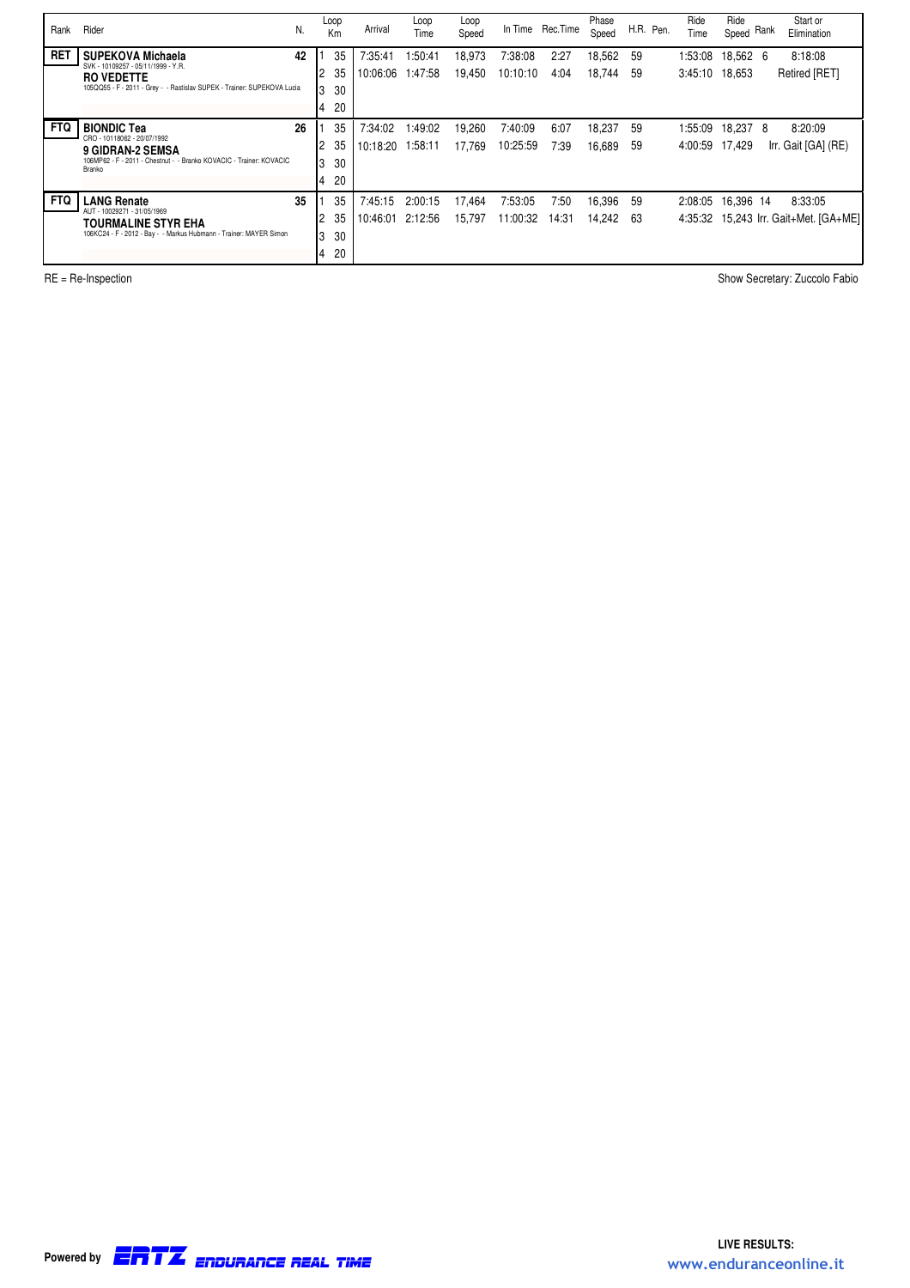| Rank       | Rider                                                                                        | N. | Loop<br>Km           | Arrival             | Loop<br>Time       | Loop<br>Speed    |                     | In Time Rec. Time | Phase<br>Speed   |          | H.R. Pen. | Ride<br>Time              | Ride<br>Speed Rank | Start or<br>Elimination               |
|------------|----------------------------------------------------------------------------------------------|----|----------------------|---------------------|--------------------|------------------|---------------------|-------------------|------------------|----------|-----------|---------------------------|--------------------|---------------------------------------|
| <b>RET</b> | <b>SUPEKOVA Michaela</b><br>SVK - 10109257 - 05/11/1999 - Y.R.                               | 42 | 35<br>35<br>2        | 7:35:41<br>10:06:06 | 1:50:41<br>1:47:58 | 18,973<br>19,450 | 7:38:08<br>10:10:10 | 2:27<br>4:04      | 18,562<br>18,744 | 59<br>59 |           | 1:53:08<br>3:45:10 18.653 | 18,562 6           | 8:18:08<br>Retired [RET]              |
|            | <b>RO VEDETTE</b><br>105QQ55 - F - 2011 - Grey - - Rastislav SUPEK - Trainer: SUPEKOVA Lucia |    | 3<br>30              |                     |                    |                  |                     |                   |                  |          |           |                           |                    |                                       |
|            |                                                                                              |    | 20<br>4              |                     |                    |                  |                     |                   |                  |          |           |                           |                    |                                       |
| <b>FTQ</b> | <b>BIONDIC Tea</b>                                                                           | 26 | 35                   | 7:34:02             | 1:49:02            | 19,260           | 7:40:09             | 6:07              | 18,237           | 59       |           | 1:55:09                   | 18,237 8           | 8:20:09                               |
|            | CRO - 10118062 - 20/07/1992<br>9 GIDRAN-2 SEMSA                                              |    | 35                   | 10:18:20            | 1:58:11            | 17,769           | 10:25:59            | 7:39              | 16,689           | 59       |           | 4:00:59                   | 17,429             | Irr. Gait [GA] (RE)                   |
|            | 106MP62 - F - 2011 - Chestnut - - Branko KOVACIC - Trainer: KOVACIC<br>Branko                |    | 30<br>3              |                     |                    |                  |                     |                   |                  |          |           |                           |                    |                                       |
|            |                                                                                              |    | 20<br>4              |                     |                    |                  |                     |                   |                  |          |           |                           |                    |                                       |
| <b>FTQ</b> | <b>LANG Renate</b>                                                                           | 35 | 35                   | 7:45:15             | 2:00:15            | 17.464           | 7:53:05             | 7:50              | 16,396           | -59      |           | 2:08:05                   | 16.396 14          | 8:33:05                               |
|            | AUT - 10029271 - 31/05/1969<br><b>TOURMALINE STYR EHA</b>                                    |    | 35                   | 10:46:01            | 2:12:56            | 15,797           | 11:00:32            | 14:31             | 14,242           | 63       |           |                           |                    | 4:35:32 15,243 Irr. Gait+Met. [GA+ME] |
|            | 106KC24 - F - 2012 - Bay - - Markus Hubmann - Trainer: MAYER Simon                           |    | 30<br>3              |                     |                    |                  |                     |                   |                  |          |           |                           |                    |                                       |
|            |                                                                                              |    | 20<br>$\overline{4}$ |                     |                    |                  |                     |                   |                  |          |           |                           |                    |                                       |

RE = Re-Inspection Show Secretary: Zuccolo Fabio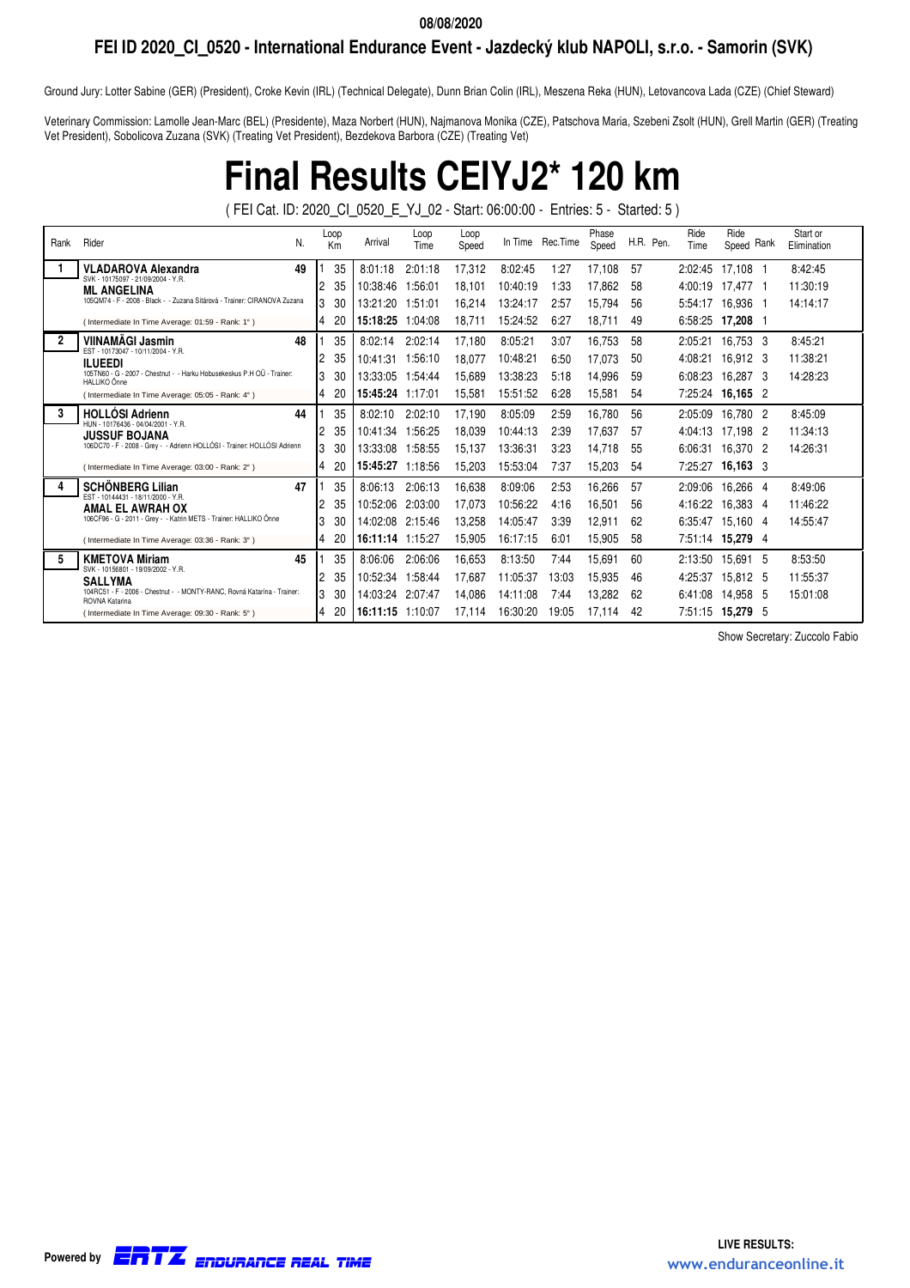## **FEI ID 2020\_CI\_0520 - International Endurance Event - Jazdecký klub NAPOLI, s.r.o. - Samorin (SVK)**

Ground Jury: Lotter Sabine (GER) (President), Croke Kevin (IRL) (Technical Delegate), Dunn Brian Colin (IRL), Meszena Reka (HUN), Letovancova Lada (CZE) (Chief Steward)

Veterinary Commission: Lamolle Jean-Marc (BEL) (Presidente), Maza Norbert (HUN), Najmanova Monika (CZE), Patschova Maria, Szebeni Zsolt (HUN), Grell Martin (GER) (Treating Vet President), Sobolicova Zuzana (SVK) (Treating Vet President), Bezdekova Barbora (CZE) (Treating Vet)

# **Final Results CEIYJ2\* 120 km**

( FEI Cat. ID: 2020\_CI\_0520\_E\_YJ\_02 - Start: 06:00:00 - Entries: 5 - Started: 5 )

| Rank         | Rider<br>N.                                                                               | Loop<br>Km | Arrival          | Loop<br>Time | Loop<br>Speed |          | In Time Rec. Time | Phase<br>Speed | H.R. Pen. | Ride<br>Time | Ride<br>Rank<br>Speed | Start or<br>Elimination |
|--------------|-------------------------------------------------------------------------------------------|------------|------------------|--------------|---------------|----------|-------------------|----------------|-----------|--------------|-----------------------|-------------------------|
|              | <b>VLADAROVA Alexandra</b><br>49                                                          | 35         | 8:01:18          | 2:01:18      | 17,312        | 8:02:45  | 1:27              | 17,108         | 57        | 2:02:45      | 17,108 1              | 8:42:45                 |
|              | SVK - 10175097 - 21/09/2004 - Y.R.<br><b>ML ANGELINA</b>                                  | 35<br>2    | 10:38:46         | 1:56:01      | 18.101        | 10:40:19 | 1:33              | 17.862         | 58        | 4:00:19      | 17.477 1              | 11:30:19                |
|              | 105QM74 - F - 2008 - Black - - Zuzana Sitárová - Trainer: CIRANOVA Zuzana                 | 3<br>30    | 13:21:20         | 1:51:01      | 16.214        | 13:24:17 | 2:57              | 15,794         | 56        | 5:54:17      | 16.936<br>- 1         | 14:14:17                |
|              | (Intermediate In Time Average: 01:59 - Rank: 1°)                                          | 20<br>4    | 15:18:25         | 1:04:08      | 18,711        | 15:24:52 | 6:27              | 18,711         | 49        | 6:58:25      | 17,208 1              |                         |
| $\mathbf{2}$ | <b>VIINAMÄGI Jasmin</b><br>48                                                             | 35         | 8:02:14          | 2:02:14      | 17,180        | 8:05:21  | 3:07              | 16,753         | 58        | 2:05:21      | 16,753 3              | 8:45:21                 |
|              | EST - 10173047 - 10/11/2004 - Y.R.<br><b>ILUEEDI</b>                                      | 35<br>2    | 10:41:31         | 1:56:10      | 18,077        | 10:48:21 | 6:50              | 17,073         | 50        | 4:08:21      | 16,912 3              | 11:38:21                |
|              | 105TN60 - G - 2007 - Chestnut - - Harku Hobusekeskus P.H OÜ - Trainer:<br>HALLIKO Õnne    | 3<br>30    | 13:33:05         | 1:54:44      | 15,689        | 13:38:23 | 5:18              | 14,996         | 59        | 6:08:23      | 16.287<br>-3          | 14:28:23                |
|              | (Intermediate In Time Average: 05:05 - Rank: 4°)                                          | 4<br>20    | 15:45:24         | 1:17:01      | 15,581        | 15:51:52 | 6:28              | 15,581         | 54        | 7:25:24      | 16,165 2              |                         |
| 3            | <b>HOLLOSI Adrienn</b><br>44                                                              | 35         | 8:02:10          | 2:02:10      | 17,190        | 8:05:09  | 2:59              | 16,780         | 56        | 2:05:09      | 16.780 2              | 8:45:09                 |
|              | HUN - 10176436 - 04/04/2001 - Y.R.<br><b>JUSSUF BOJANA</b>                                | 35<br>2    | 10:41:34         | 1:56:25      | 18,039        | 10:44:13 | 2:39              | 17.637         | -57       | 4:04:13      | 17,198<br>-2          | 11:34:13                |
|              | 106DC70 - F - 2008 - Grey - - Adrienn HOLLÓSI - Trainer: HOLLÓSI Adrienn                  | 3<br>30    | 13:33:08         | 1:58:55      | 15,137        | 13:36:31 | 3:23              | 14,718         | 55        | 6:06:31      | 16.370 2              | 14:26:31                |
|              | (Intermediate In Time Average: 03:00 - Rank: 2°)                                          | 4<br>20    | 15:45:27         | 1:18:56      | 15.203        | 15:53:04 | 7:37              | 15,203         | -54       | 7:25:27      | $16,163$ 3            |                         |
|              | 47<br><b>SCHONBERG Lilian</b>                                                             | 35         | 8:06:13          | 2:06:13      | 16,638        | 8:09:06  | 2:53              | 16,266         | -57       | 2:09:06      | 16,266 4              | 8:49:06                 |
|              | EST - 10144431 - 18/11/2000 - Y.R.<br><b>AMAL EL AWRAH OX</b>                             | 35<br>2    | 10:52:06         | 2:03:00      | 17,073        | 10:56:22 | 4:16              | 16,501         | 56        | 4:16:22      | 16.383 4              | 11:46:22                |
|              | 106CF96 - G - 2011 - Grey - - Katrin METS - Trainer: HALLIKO Onne                         | 3<br>30    | 14:02:08         | 2:15:46      | 13,258        | 14:05:47 | 3:39              | 12,911         | 62        | 6:35:47      | 15.160 4              | 14:55:47                |
|              | (Intermediate In Time Average: 03:36 - Rank: 3°)                                          | 20<br>4    | 16:11:14 1:15:27 |              | 15,905        | 16:17:15 | 6:01              | 15,905         | 58        |              | 7:51:14 15,279 4      |                         |
|              | <b>KMETOVA Miriam</b><br>45<br>SVK - 10156801 - 19/09/2002 - Y.R.                         | 35         | 8:06:06          | 2:06:06      | 16,653        | 8:13:50  | 7:44              | 15,691         | 60        | 2:13:50      | 15.691<br>- 5         | 8:53:50                 |
|              | <b>SALLYMA</b>                                                                            | 35<br>2    | 10:52:34         | 1:58:44      | 17.687        | 11:05:37 | 13:03             | 15.935         | 46        | 4:25:37      | 15.812 5              | 11:55:37                |
|              | 104RC51 - F - 2006 - Chestnut - - MONTY-RANC, Rovná Katarína - Trainer:<br>ROVNA Katarina | 3<br>30    | 14:03:24         | 2:07:47      | 14.086        | 14:11:08 | 7:44              | 13.282         | 62        | 6:41:08      | 14.958 5              | 15:01:08                |
|              | (Intermediate In Time Average: 09:30 - Rank: 5°)                                          | 20<br>4    | 16:11:15 1:10:07 |              | 17.114        | 16:30:20 | 19:05             | 17.114         | 42        | 7:51:15      | 15,279 5              |                         |

Show Secretary: Zuccolo Fabio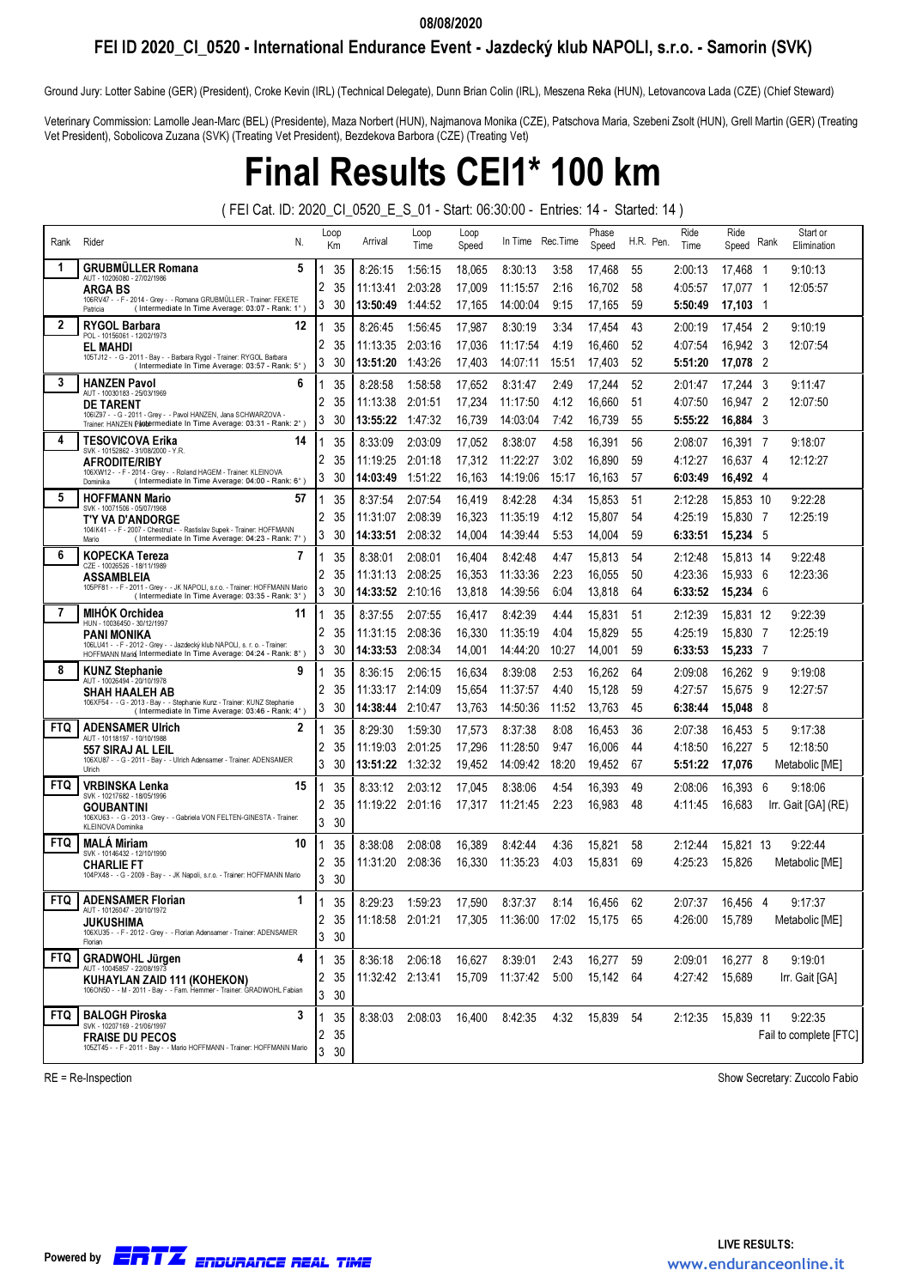## FEI ID 2020\_CI\_0520 - International Endurance Event - Jazdecký klub NAPOLI, s.r.o. - Samorin (SVK)

Ground Jury: Lotter Sabine (GER) (President), Croke Kevin (IRL) (Technical Delegate), Dunn Brian Colin (IRL), Meszena Reka (HUN), Letovancova Lada (CZE) (Chief Steward)

Veterinary Commission: Lamolle Jean-Marc (BEL) (Presidente), Maza Norbert (HUN), Najmanova Monika (CZE), Patschova Maria, Szebeni Zsolt (HUN), Grell Martin (GER) (Treating Vet President), Sobolicova Zuzana (SVK) (Treating Vet President), Bezdekova Barbora (CZE) (Treating Vet)

## Final Results CEI1\* 100 km

( FEI Cat. ID: 2020\_CI\_0520\_E\_S\_01 - Start: 06:30:00 - Entries: 14 - Started: 14 )

| Rank       | Rider<br>N.                                                                                                                                 | Loop<br>Кm | Arrival                                          | Loop<br>Time | Loop<br>Speed |          | In Time Rec. Time | Phase<br>Speed | H.R. Pen. | Ride<br>Time | Ride<br>Speed Rank |     | Start or<br>Elimination |
|------------|---------------------------------------------------------------------------------------------------------------------------------------------|------------|--------------------------------------------------|--------------|---------------|----------|-------------------|----------------|-----------|--------------|--------------------|-----|-------------------------|
| 1          | 5<br><b>GRUBMULLER Romana</b><br>AUT - 10206080 - 27/02/1986                                                                                | 35         | 8:26:15                                          | 1:56:15      | 18,065        | 8:30:13  | 3:58              | 17,468         | 55        | 2:00:13      | 17,468 1           |     | 9:10:13                 |
|            | <b>ARGA BS</b>                                                                                                                              | 2<br>35    | 11:13:41                                         | 2:03:28      | 17,009        | 11:15:57 | 2:16              | 16,702         | 58        | 4:05:57      | 17,077 1           |     | 12:05:57                |
|            | 106RV47 - - F - 2014 - Grey - - Romana GRUBMÜLLER - Trainer: FEKETE<br>(Intermediate In Time Average: 03:07 - Rank: 1°)<br>Patricia         | 3<br>30    | 13:50:49                                         | 1:44:52      | 17,165        | 14:00:04 | 9:15              | 17,165         | 59        | 5:50:49      | 17,103 1           |     |                         |
| 2          | <b>RYGOL Barbara</b><br>12<br>POL - 10156061 - 12/02/1973                                                                                   | 35         | 8:26:45                                          | 1:56:45      | 17,987        | 8:30:19  | 3:34              | 17,454         | 43        | 2:00:19      | 17,454 2           |     | 9:10:19                 |
|            | EL MAHDI                                                                                                                                    | 2<br>35    | 11:13:35                                         | 2:03:16      | 17,036        | 11:17:54 | 4:19              | 16,460         | 52        | 4:07:54      | 16,942 3           |     | 12:07:54                |
|            | 105TJ12 - - G - 2011 - Bay - - Barbara Rygol - Trainer: RYGOL Barbara<br>(Intermediate In Time Average: 03:57 - Rank: 5°)                   | 3<br>30    | 13:51:20                                         | 1:43:26      | 17,403        | 14:07:11 | 15:51             | 17,403         | 52        | 5:51:20      | 17,078 2           |     |                         |
| 3          | <b>HANZEN Pavol</b><br>6<br>AUT - 10030183 - 25/03/1969                                                                                     | 35         | 8:28:58                                          | 1:58:58      | 17,652        | 8:31:47  | 2:49              | 17,244         | 52        | 2:01:47      | 17,244 3           |     | 9:11:47                 |
|            | <b>DE TARENT</b>                                                                                                                            | 2<br>35    | 11:13:38                                         | 2:01:51      | 17,234        | 11:17:50 | 4:12              | 16,660         | 51        | 4:07:50      | 16,947 2           |     | 12:07:50                |
|            | 1061Z97 - - G - 2011 - Grey - - Pavol HANZEN, Jana SCHWARZOVA -<br>Trainer. HANZEN Pantermediate In Time Average: 03:31 - Rank: 2°)         | 3<br>30    | 13:55:22                                         | 1:47:32      | 16,739        | 14:03:04 | 7:42              | 16,739         | 55        | 5:55:22      | 16,884 3           |     |                         |
| 4          | <b>TESOVICOVA Erika</b><br>14<br>SVK - 10152862 - 31/08/2000 - Y.R                                                                          | 35         | 8:33:09                                          | 2:03:09      | 17,052        | 8:38:07  | 4:58              | 16,391         | 56        | 2:08:07      | 16,391 7           |     | 9:18:07                 |
|            | <b>AFRODITE/RIBY</b>                                                                                                                        | 2<br>35    | 11:19:25                                         | 2:01:18      | 17,312        | 11:22:27 | 3:02              | 16,890         | 59        | 4:12:27      | 16,637 4           |     | 12:12:27                |
|            | 106XW12 - - F - 2014 - Grey - - Roland HAGEM - Trainer: KLEINOVA<br>(Intermediate In Time Average: 04:00 - Rank: 6°)<br>Dominika            | 3<br>30    | 14:03:49                                         | 1:51:22      | 16,163        | 14:19:06 | 15:17             | 16,163         | 57        | 6:03:49      | 16,492 4           |     |                         |
| 5          | <b>HOFFMANN Mario</b><br>57<br>SVK - 10071506 - 05/07/1968                                                                                  | 35         | 8:37:54                                          | 2:07:54      | 16,419        | 8:42:28  | 4:34              | 15,853         | 51        | 2:12:28      | 15,853 10          |     | 9:22:28                 |
|            | T'Y VA D'ANDORGE                                                                                                                            | 2<br>35    | 11:31:07                                         | 2:08:39      | 16,323        | 11:35:19 | 4:12              | 15,807         | 54        | 4:25:19      | 15,830 7           |     | 12:25:19                |
|            | 104IK41 - - F - 2007 - Chestnut - - Rastislav Supek - Trainer: HOFFMANN<br>(Intermediate In Time Average: 04:23 - Rank: 7°)<br>Mario        | 3<br>30    | 14:33:51                                         | 2:08:32      | 14,004        | 14:39:44 | 5:53              | 14,004         | 59        | 6:33:51      | 15,234 5           |     |                         |
| 6          | <b>KOPECKA Tereza</b><br>7                                                                                                                  | 35         | 8:38:01                                          | 2:08:01      | 16,404        | 8:42:48  | 4:47              | 15,813         | 54        | 2:12:48      | 15,813 14          |     | 9:22:48                 |
|            | CZE - 10026526 - 18/11/1989<br><b>ASSAMBLEIA</b>                                                                                            | 2<br>35    | 11:31:13                                         | 2:08:25      | 16,353        | 11:33:36 | 2:23              | 16,055         | 50        | 4:23:36      | 15,933 6           |     | 12:23:36                |
|            | 105PF81 - - F - 2011 - Grey - - JK NAPOLI, s.r.o. - Trainer: HOFFMANN Mario<br>(Intermediate In Time Average: 03:35 - Rank: 3°)             | 3<br>30    | 14:33:52                                         | 2:10:16      | 13,818        | 14:39:56 | 6:04              | 13,818         | 64        | 6:33:52      | 15,234 6           |     |                         |
| 7          | <b>MIHOK Orchidea</b><br>11                                                                                                                 | 35         | 8:37:55                                          | 2:07:55      | 16,417        | 8:42:39  | 4:44              | 15,831         | 51        | 2:12:39      | 15,831 12          |     | 9:22:39                 |
|            | HUN - 10036450 - 30/12/1997<br>PANI MONIKA                                                                                                  | 2<br>35    | 11:31:15                                         | 2:08:36      | 16,330        | 11:35:19 | 4:04              | 15,829         | 55        | 4:25:19      | 15.830 7           |     | 12:25:19                |
|            | 106LU41 - - F - 2012 - Grey - - Jazdecký klub NAPOLI, s. r. o. - Trainer:<br>HOFFMANN Marid Intermediate In Time Average: 04:24 - Rank: 8°) | 3<br>30    | 14:33:53                                         | 2:08:34      | 14,001        | 14:44:20 | 10:27             | 14,001         | 59        | 6:33:53      | 15,233 7           |     |                         |
| 8          | <b>KUNZ Stephanie</b><br>9<br>AUT - 10026494 - 20/10/1978                                                                                   | 35         | 8:36:15                                          | 2:06:15      | 16,634        | 8:39:08  | 2:53              | 16,262         | 64        | 2:09:08      | 16,262 9           |     | 9:19:08                 |
|            | <b>SHAH HAALEH AB</b>                                                                                                                       | 2<br>35    | 11:33:17                                         | 2:14:09      | 15,654        | 11:37:57 | 4:40              | 15,128         | 59        | 4:27:57      | 15,675             | - 9 | 12:27:57                |
|            | 106XF54 - - G - 2013 - Bay - - Stephanie Kunz - Trainer: KUNZ Stephanie<br>(Intermediate In Time Average: 03:46 - Rank: 4°)                 | 3<br>30    | 14:38:44                                         | 2:10:47      | 13,763        | 14:50:36 | 11:52             | 13,763         | 45        | 6:38:44      | 15,048 8           |     |                         |
| <b>FTQ</b> | <b>ADENSAMER Ulrich</b><br>2<br>AUT - 10118197 - 10/10/1988                                                                                 | 35         | 8:29:30                                          | 1:59:30      | 17,573        | 8:37:38  | 8:08              | 16,453         | 36        | 2:07:38      | 16,453 5           |     | 9:17:38                 |
|            | 557 SIRAJ AL LEIL                                                                                                                           | 2<br>35    | 11:19:03                                         | 2:01:25      | 17,296        | 11:28:50 | 9:47              | 16,006         | 44        | 4:18:50      | 16,227 5           |     | 12:18:50                |
|            | 106XU87 - - G - 2011 - Bay - - Ulrich Adensamer - Trainer: ADENSAMER<br>Ulrich                                                              | 3<br>30    | 13:51:22                                         | 1:32:32      | 19,452        | 14:09:42 | 18:20             | 19,452         | 67        | 5:51:22      | 17,076             |     | Metabolic [ME]          |
| <b>FTQ</b> | VRBINSKA Lenka<br>15                                                                                                                        | 35         | 8:33:12                                          | 2:03:12      | 17,045        | 8:38:06  | 4:54              | 16,393         | 49        | 2:08:06      | 16,393 6           |     | 9:18:06                 |
|            | SVK - 10217682 - 18/05/1996<br><b>GOUBANTINI</b>                                                                                            | 35<br>2    | 11:19:22 2:01:16                                 |              | 17,317        | 11:21:45 | 2:23              | 16,983         | 48        | 4:11:45      | 16,683             |     | Irr. Gait [GA] (RE)     |
|            | 106XU63 - - G - 2013 - Grey - - Gabriela VON FELTEN-GINESTA - Trainer:<br>KLEINOVA Dominika                                                 | 3<br>30    |                                                  |              |               |          |                   |                |           |              |                    |     |                         |
| <b>FTQ</b> | <b>MALA Miriam</b><br>10<br>SVK - 10146432 - 12/10/1990                                                                                     | 35         | 8:38:08                                          | 2:08:08      | 16,389        | 8:42:44  | 4:36              | 15,821         | 58        | 2:12:44      | 15,821 13          |     | 9:22:44                 |
|            | <b>CHARLIE FT</b>                                                                                                                           | 2<br>35    | 11:31:20                                         | 2:08:36      | 16,330        | 11:35:23 | 4:03              | 15,831         | 69        | 4:25:23      | 15,826             |     | Metabolic [ME]          |
|            | 104PX48 - - G - 2009 - Bay - - JK Napoli, s.r.o. - Trainer: HOFFMANN Mario                                                                  | 3<br>30    |                                                  |              |               |          |                   |                |           |              |                    |     |                         |
| <b>FTQ</b> | <b>ADENSAMER Florian</b><br>1                                                                                                               | 35         | 8:29:23                                          | 1:59:23      | 17,590        | 8:37:37  | 8:14              | 16.456         | 62        | 2:07:37      | 16.456             | - 4 | 9:17:37                 |
|            | AUI - 1012004/ - 20/10/19/2<br><b>JUKUSHIMA</b>                                                                                             | 2<br>35    | 11:18:58 2:01:21 17,305 11:36:00 17:02 15,175 65 |              |               |          |                   |                |           | 4:26:00      | 15,789             |     | Metabolic [ME]          |
|            | 106XU35 - - F - 2012 - Grey - - Florian Adensamer - Trainer: ADENSAMER<br>Florian                                                           | 3<br>30    |                                                  |              |               |          |                   |                |           |              |                    |     |                         |
| <b>FTQ</b> | <b>GRADWOHL Jürgen</b><br>4                                                                                                                 | 35         | 8:36:18                                          | 2:06:18      | 16,627        | 8:39:01  | 2:43              | 16,277         | 59        | 2:09:01      | 16,277 8           |     | 9:19:01                 |
|            | AUT - 10045857 - 22/08/1973<br>KUHAYLAN ZAID 111 (KOHEKON)                                                                                  | 35<br>2    | 11:32:42 2:13:41                                 |              | 15,709        | 11:37:42 | 5:00              | 15,142         | 64        | 4:27:42      | 15,689             |     | Irr. Gait [GA]          |
|            | 106ON50 - - M - 2011 - Bay - - Fam. Hemmer - Trainer: GRADWOHL Fabian                                                                       | 3<br>30    |                                                  |              |               |          |                   |                |           |              |                    |     |                         |
| <b>FTQ</b> | <b>BALOGH Piroska</b><br>3                                                                                                                  | 35         | 8:38:03                                          | 2:08:03      | 16,400        | 8:42:35  | 4:32              | 15,839         | 54        | 2:12:35      | 15,839 11          |     | 9:22:35                 |
|            | SVK - 10207169 - 21/06/1997<br><b>FRAISE DU PECOS</b>                                                                                       | 35<br>2    |                                                  |              |               |          |                   |                |           |              |                    |     | Fail to complete [FTC]  |
|            | 105ZT45 - - F - 2011 - Bay - - Mario HOFFMANN - Trainer: HOFFMANN Mario                                                                     | 3<br>30    |                                                  |              |               |          |                   |                |           |              |                    |     |                         |

RE = Re-Inspection Show Secretary: Zuccolo Fabio